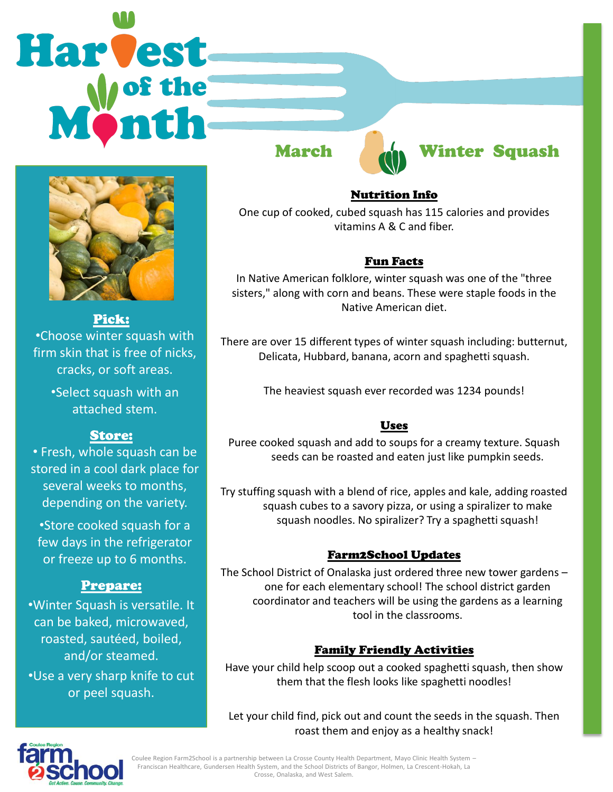# Harvest



Pick: •Choose winter squash with firm skin that is free of nicks, cracks, or soft areas.

•Select squash with an attached stem.

# Store:

• Fresh, whole squash can be stored in a cool dark place for several weeks to months, depending on the variety.

•Store cooked squash for a few days in the refrigerator or freeze up to 6 months.

# Prepare:

•Winter Squash is versatile. It can be baked, microwaved, roasted, sautéed, boiled, and/or steamed. •Use a very sharp knife to cut or peel squash.



# March An Winter Squash

#### Nutrition Info

One cup of cooked, cubed squash has 115 calories and provides vitamins A & C and fiber.

### Fun Facts

In Native American folklore, winter squash was one of the "three sisters," along with corn and beans. These were staple foods in the Native American diet.

There are over 15 different types of winter squash including: butternut, Delicata, Hubbard, banana, acorn and spaghetti squash.

The heaviest squash ever recorded was 1234 pounds!

# Uses

Puree cooked squash and add to soups for a creamy texture. Squash seeds can be roasted and eaten just like pumpkin seeds.

Try stuffing squash with a blend of rice, apples and kale, adding roasted squash cubes to a savory pizza, or using a spiralizer to make squash noodles. No spiralizer? Try a spaghetti squash!

#### Farm2School Updates

The School District of Onalaska just ordered three new tower gardens – one for each elementary school! The school district garden coordinator and teachers will be using the gardens as a learning tool in the classrooms.

# Family Friendly Activities

Have your child help scoop out a cooked spaghetti squash, then show them that the flesh looks like spaghetti noodles!

Let your child find, pick out and count the seeds in the squash. Then roast them and enjoy as a healthy snack!



Coulee Region Farm2School is a partnership between La Crosse County Health Department, Mayo Clinic Health System – Franciscan Healthcare, Gundersen Health System, and the School Districts of Bangor, Holmen, La Crescent-Hokah, La Crosse, Onalaska, and West Salem.